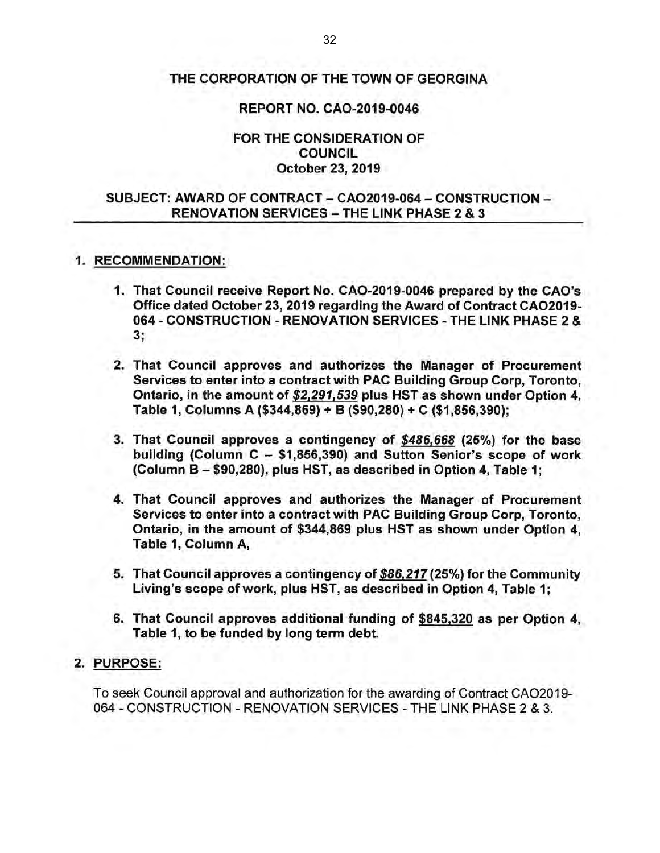### THE CORPORATION OF THE TOWN OF GEORGINA

#### REPORT NO. CA0-2019-0046

#### FOR THE CONSIDERATION OF COUNCIL October 23, 2019

### SUBJECT: AWARD OF CONTRACT- CA02019-064- CONSTRUCTION-RENOVATION SERVICES - THE LINK PHASE 2 & 3

#### 1. RECOMMENDATION:

- 1. That Council receive Report No. CA0-2019-0046 prepared by the CAO's Office dated October 23, 2019 regarding the Award of Contract CA02019- 064 - CONSTRUCTION - RENOVATION SERVICES - THE LINK PHASE 2 & 3;
- 2. That Council approves and authorizes the Manager of Procurement Services to enter into a contract with PAC Building Group Corp, Toronto, Ontario, in the amount of \$2,291,539 plus HST as shown under Option 4, Table 1, Columns A (\$344,869) + B (\$90,280) + C (\$1 ,856,390);
- 3. That Council approves a contingency of \$486,668 (25%) for the base building (Column  $C - $1,856,390$ ) and Sutton Senior's scope of work (Column B - \$90,280), plus HST, as described in Option 4, Table 1;
- 4. That Council approves and authorizes the Manager of Procurement Services to enter into a contract with PAC Building Group Corp, Toronto, Ontario, in the amount of \$344,869 plus HST as shown under Option 4, Table 1, Column A,
- 5. That Council approves a contingency of \$86,217 (25%) for the Community Living's scope of work, plus HST, as described in Option 4, Table 1;
- 6. That Council approves additional funding of \$845,320 as per Option 4, Table 1, to be funded by long term debt.

#### 2. PURPOSE:

To seek Council approval and authorization for the awarding of Contract CA02019- 064- CONSTRUCTION- RENOVATION SERVICES- THE LINK PHASE 2 & 3.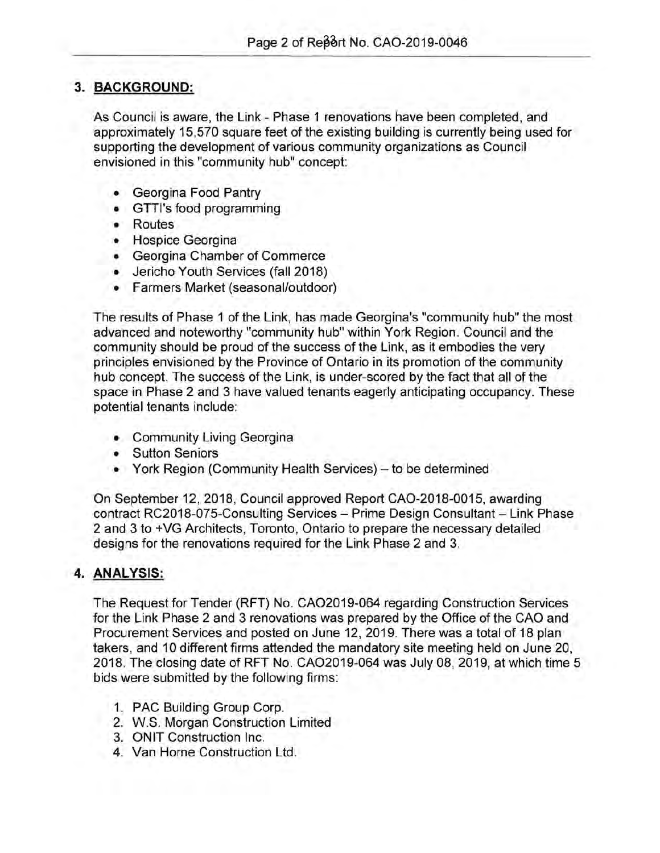# **3. BACKGROUND:**

As Council is aware, the Link- Phase 1 renovations have been completed, and approximately 15,570 square feet of the existing building is currently being used for supporting the development of various community organizations as Council envisioned in this "community hub" concept:

- Georgina Food Pantry
- GTTI's food programming
- Routes
- Hospice Georgina
- Georgina Chamber of Commerce
- Jericho Youth Services (fall 2018)
- Farmers Market (seasonal/outdoor)

The results of Phase 1 of the Link, has made Georgina's "community hub" the most advanced and noteworthy "community hub" within York Region. Council and the community should be proud of the success of the Link, as it embodies the very principles envisioned by the Province of Ontario in its promotion of the community hub concept. The success of the Link, is under-scored by the fact that all of the space in Phase 2 and 3 have valued tenants eagerly anticipating occupancy. These potential tenants include:

- Community Living Georgina
- Sutton Seniors
- York Region (Community Health Services) to be determined

On September 12, 2018, Council approved Report CA0-2018-0015, awarding contract RC2018-075-Consulting Services - Prime Design Consultant - Link Phase 2 and 3 to +VG Architects, Toronto, Ontario to prepare the necessary detailed designs for the renovations required for the Link Phase 2 and 3.

## **4. ANALYSIS:**

The Request for Tender (RFT) No. CA02019-064 regarding Construction Services for the Link Phase 2 and 3 renovations was prepared by the Office of the CAO and Procurement Services and posted on June 12, 2019. There was a total of 18 plan takers, and 10 different firms attended the mandatory site meeting held on June 20, 2018. The closing date of RFT No. CA02019-064 was July 08, 2019, at which time 5 bids were submitted by the following firms:

- 1. PAC Building Group Corp.
- 2. W.S. Morgan Construction Limited
- 3. ONIT Construction Inc.
- 4. Van Horne Construction Ltd.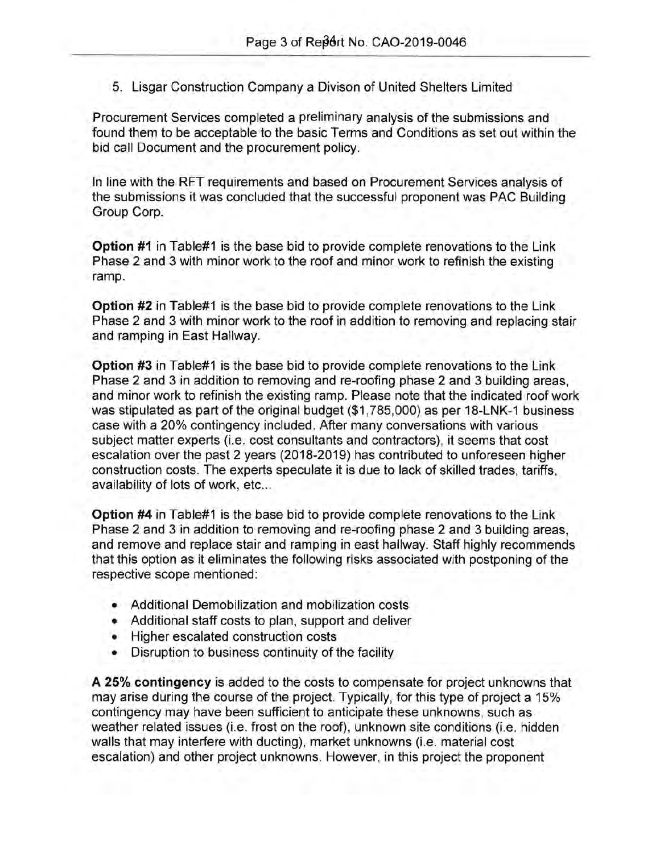5. Lisgar Construction Company a Divison of United Shelters Limited

Procurement Services completed a preliminary analysis of the submissions and found them to be acceptable to the basic Terms and Conditions as set out within the bid call Document and the procurement policy.

In line with the RFT requirements and based on Procurement Services analysis of the submissions it was concluded that the successful proponent was PAC Building Group Corp.

**Option #1** in Table#1 is the base bid to provide complete renovations to the Link Phase 2 and 3 with minor work to the roof and minor work to refinish the existing ramp.

**Option #2** in Table#1 is the base bid to provide complete renovations to the Link Phase 2 and 3 with minor work to the roof in addition to removing and replacing stair and ramping in East Hallway.

**Option** #3 in Table#1 is the base bid to provide complete renovations to the Link Phase 2 and 3 in addition to removing and re-roofing phase 2 and 3 building areas, and minor work to refinish the existing ramp. Please note that the indicated roof work was stipulated as part of the original budget (\$1 ,785,000) as per 18-LNK-1 business case with a 20% contingency included. After many conversations with various subject matter experts (i.e. cost consultants and contractors), it seems that cost escalation over the past 2 years (2018-2019) has contributed to unforeseen higher construction costs. The experts speculate it is due to lack of skilled trades, tariffs, availability of lots of work, etc...

**Option #4** in Table#1 is the base bid to provide complete renovations to the Link Phase 2 and 3 in addition to removing and re-roofing phase 2 and 3 building areas, and remove and replace stair and ramping in east hallway. Staff highly recommends that this option as it eliminates the following risks associated with postponing of the respective scope mentioned:

- Additional Demobilization and mobilization costs
- Additional staff costs to plan, support and deliver
- Higher escalated construction costs
- Disruption to business continuity of the facility

**A 25% contingency** is added to the costs to compensate for project unknowns that may arise during the course of the project. Typically, for this type of project a 15% contingency may have been sufficient to anticipate these unknowns, such as weather related issues (i.e. frost on the roof), unknown site conditions (i.e. hidden walls that may interfere with ducting), market unknowns (i.e. material cost escalation) and other project unknowns. However, in this project the proponent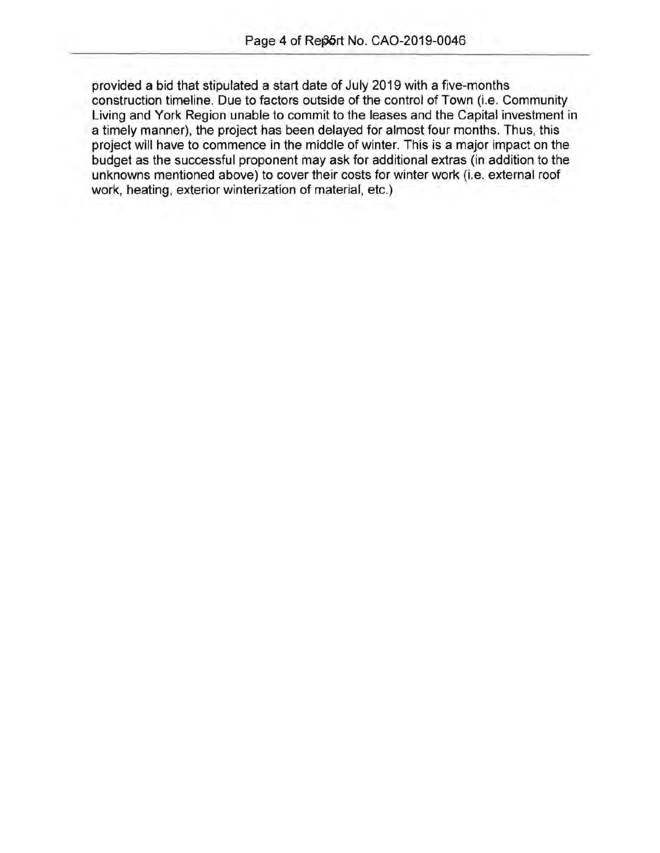provided a bid that stipulated a start date of July 2019 with a five-months construction timeline. Due to factors outside of the control of Town (i.e. Community Living and York Region unable to commit to the leases and the Capital investment in a timely manner), the project has been delayed for almost four months. Thus, this project will have to commence in the middle of winter. This is a major impact on the budget as the successful proponent may ask for additional extras (in addition to the unknowns mentioned above) to cover their costs for winter work (i.e. external roof work, heating, exterior winterization of material, etc.)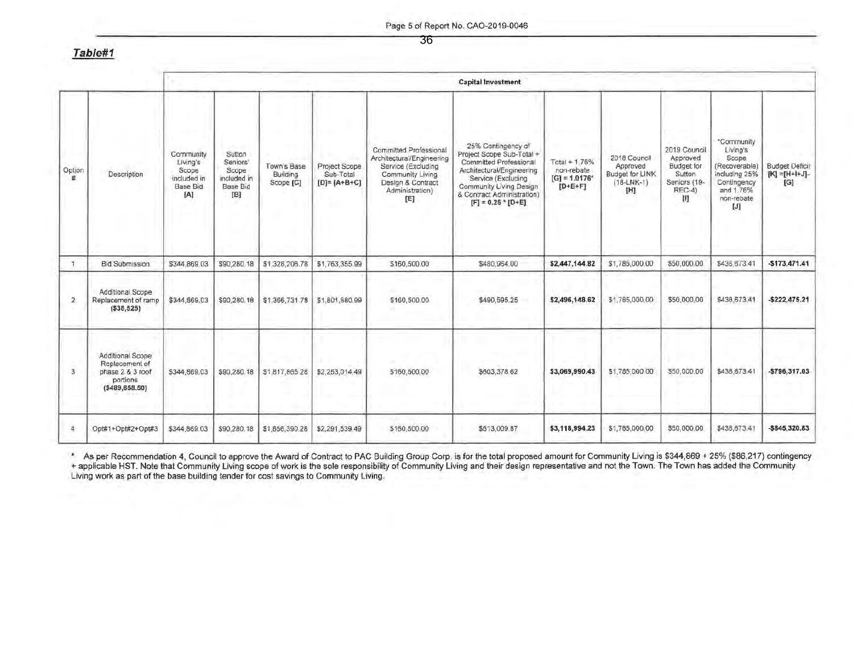Page 5 of Report No. CA0-2019-0046

**Table#1** 

|              |                                                                                         | <b>Capital Investment</b>                                               |                                                                                   |                                      |                                                   |                                                                                                                                                     |                                                                                                                                                                                                                 |                                                             |                                                                    |                                                                                          |                                                                                                                      |                                                       |
|--------------|-----------------------------------------------------------------------------------------|-------------------------------------------------------------------------|-----------------------------------------------------------------------------------|--------------------------------------|---------------------------------------------------|-----------------------------------------------------------------------------------------------------------------------------------------------------|-----------------------------------------------------------------------------------------------------------------------------------------------------------------------------------------------------------------|-------------------------------------------------------------|--------------------------------------------------------------------|------------------------------------------------------------------------------------------|----------------------------------------------------------------------------------------------------------------------|-------------------------------------------------------|
| Option<br>#  | Description                                                                             | Community<br>Living's<br>Scope<br>included in<br><b>Base Bid</b><br>[A] | Sutton<br>Seniors'<br>Scope<br>included in<br><b>Base Bid</b><br>[ <sup>B</sup> ] | Town's Base<br>Building<br>Scope [C] | Project Scope<br>Sub-Total<br>$[D] = [A + B + C]$ | <b>Committed Professional</b><br>Architectural/Engineering<br>Service (Excluding<br>Community Living<br>Design & Contract<br>Administration)<br>[E] | 25% Contingency of<br>Project Scope Sub-Total +<br>Committed Professional<br>Architectural/Engineering<br>Service (Excluding<br>Community Living Design<br>& Contract Administration)<br>$[F] = 0.25$ * $[D+E]$ | Total + 1.76%<br>non-rebate<br>$[G] = 1.0176*$<br>$[D+E+F]$ | 2018 Council<br>Approved<br>Budget for LINK<br>$(18-LNK-1)$<br>[H] | 2019 Council<br>Approved<br><b>Budget</b> for<br>Sutton<br>Seniors (19-<br>$REC-4)$<br>m | *Community<br>Living's<br>Scope<br>(Recoverable)<br>including 25%<br>Contingency<br>and 1.76%<br>non-rebate<br>$[J]$ | <b>Budget Deficit</b><br>$[K] = [H + I + J] -$<br>[G] |
| Ħ            | <b>Bid Submission</b>                                                                   | \$344,869.03                                                            | \$90,280 18                                                                       | \$1,328,206.78                       | \$1,763,355.99                                    | \$160,500.00                                                                                                                                        | \$480,964.00                                                                                                                                                                                                    | \$2,447,144.82                                              | \$1,785,000.00                                                     | \$50,000.00                                                                              | \$438,673.41                                                                                                         | $-$173,471.41$                                        |
| $\mathbf{2}$ | Additional Scope<br>Replacement of ramp<br>(538, 525)                                   | \$344,869.03                                                            | \$90,280.18                                                                       | \$1,366,731.78                       | \$1,801,880.99                                    | \$160,500.00                                                                                                                                        | \$490,595.25                                                                                                                                                                                                    | \$2,496,148.62                                              | \$1,785,000.00                                                     | \$50,000.00                                                                              | \$438,673.41                                                                                                         | $-$ \$222,475.21                                      |
| 3            | Additional Scope<br>Replacement of<br>phase 2 & 3 roof<br>portions<br>( \$489, 658, 50) | \$344,869.03                                                            | \$90,280.18                                                                       | \$1,817,865.28                       | \$2,253,014.49                                    | \$160,500.00                                                                                                                                        | \$603,378.62                                                                                                                                                                                                    | \$3,069,990.43                                              | \$1,785,000.00                                                     | \$50,000.00                                                                              | \$438,673.41                                                                                                         | -\$796,317.03                                         |
| 4            | Opt#1+Opt#2+Opt#3                                                                       | \$344,869.03                                                            | \$90,280.18                                                                       | \$1,856,390.28                       | \$2,291,539.49                                    | \$160,500.00                                                                                                                                        | \$613,009.87                                                                                                                                                                                                    | \$3,118,994.23                                              | \$1,785,000.00                                                     | \$50,000.00                                                                              | \$438,673.41                                                                                                         | $-$845,320.83$                                        |

• As per Recommendation 4, Council to approve the Award of Contract to PAC Building Group Corp. is for the total proposed amount for Community Living is \$344,869 + 25% (\$86,217) contingency <sup>+</sup>applicable HST. Note that Community Living scope of work is the sole responsibility of Community Living and their design representative and not the Town. The Town has added the Community Living work as part of the base building tender for cost savings to Community Living.

36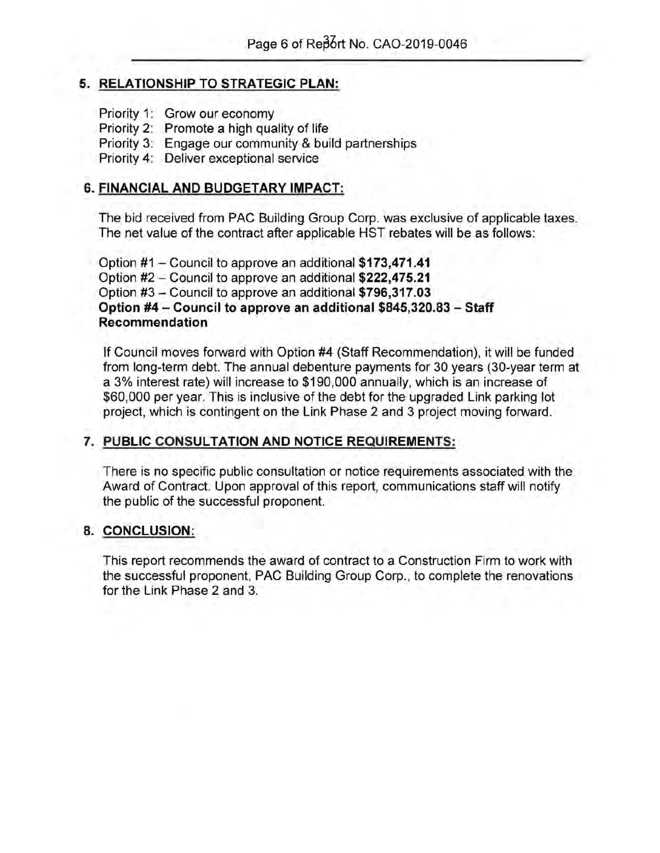## **5. RELATIONSHIP TO STRATEGIC PLAN:**

- Priority 1: Grow our economy
- Priority 2: Promote a high quality of life
- Priority 3: Engage our community & build partnerships

Priority 4: Deliver exceptional service

## **6. FINANCIAL AND BUDGETARY IMPACT:**

The bid received from PAC Building Group Corp. was exclusive of applicable taxes. The net value of the contract after applicable HST rebates will be as follows:

Option #1- Council to approve an additional **\$173,471.41**  Option #2 - Council to approve an additional **\$222,475.21**  Option #3- Council to approve an additional **\$796,317.03 Option #4- Council to approve an additional \$845,320.83 -Staff Recommendation** 

If Council moves forward with Option #4 (Staff Recommendation), it will be funded from long-term debt. The annual debenture payments for 30 years (30-year term at a 3% interest rate) will increase to \$190,000 annually, which is an increase of \$60,000 per year. This is inclusive of the debt for the upgraded Link parking lot project, which is contingent on the Link Phase 2 and 3 project moving forward.

## **7. PUBLIC CONSULTATION AND NOTICE REQUIREMENTS:**

There is no specific public consultation or notice requirements associated with the Award of Contract. Upon approval of this report, communications staff will notify the public of the successful proponent.

## **8. CONCLUSION:**

This report recommends the award of contract to a Construction Firm to work with the successful proponent, PAC Building Group Corp., to complete the renovations for the Link Phase 2 and 3.